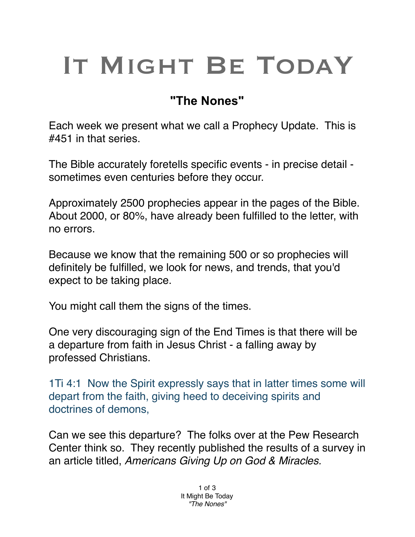## IT MIGHT BE TODAY

## **"The Nones"**

Each week we present what we call a Prophecy Update. This is #451 in that series.

The Bible accurately foretells specific events - in precise detail sometimes even centuries before they occur.

Approximately 2500 prophecies appear in the pages of the Bible. About 2000, or 80%, have already been fulfilled to the letter, with no errors.

Because we know that the remaining 500 or so prophecies will definitely be fulfilled, we look for news, and trends, that you'd expect to be taking place.

You might call them the signs of the times.

One very discouraging sign of the End Times is that there will be a departure from faith in Jesus Christ - a falling away by professed Christians.

1Ti 4:1 Now the Spirit expressly says that in latter times some will depart from the faith, giving heed to deceiving spirits and doctrines of demons,

Can we see this departure? The folks over at the Pew Research Center think so. They recently published the results of a survey in an article titled, *Americans Giving Up on God & Miracles.*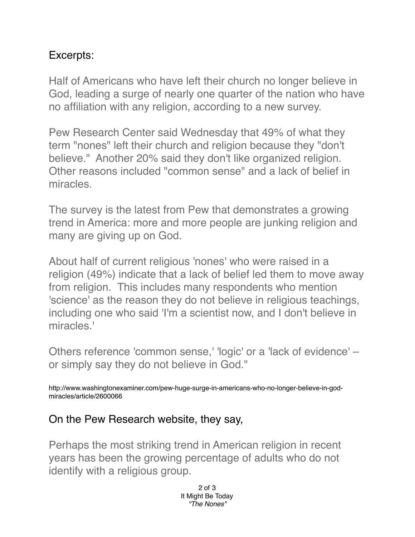## Excerpts:

Half of Americans who have left their church no longer believe in God, leading a surge of nearly one quarter of the nation who have no affiliation with any religion, according to a new survey.

Pew Research Center said Wednesday that 49% of what they term "nones" left their church and religion because they "don't believe." Another 20% said they don't like organized religion. Other reasons included "common sense" and a lack of belief in miracles.

The survey is the latest from Pew that demonstrates a growing trend in America: more and more people are junking religion and many are giving up on God.

About half of current religious 'nones' who were raised in a religion (49%) indicate that a lack of belief led them to move away from religion. This includes many respondents who mention 'science' as the reason they do not believe in religious teachings, including one who said 'I'm a scientist now, and I don't believe in miracles.'

Others reference 'common sense,' 'logic' or a 'lack of evidence' – or simply say they do not believe in God."

http://www.washingtonexaminer.com/pew-huge-surge-in-americans-who-no-longer-believe-in-godmiracles/article/2600066

## On the Pew Research website, they say,

Perhaps the most striking trend in American religion in recent years has been the growing percentage of adults who do not identify with a religious group.